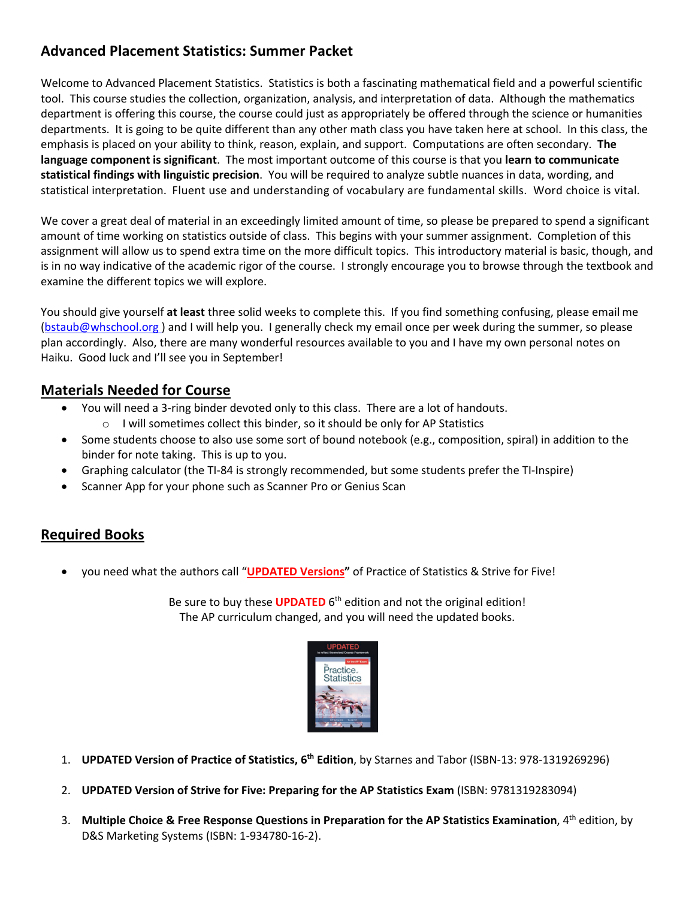# **Advanced Placement Statistics: Summer Packet**

Welcome to Advanced Placement Statistics. Statistics is both a fascinating mathematical field and a powerful scientific tool. This course studies the collection, organization, analysis, and interpretation of data. Although the mathematics department is offering this course, the course could just as appropriately be offered through the science or humanities departments. It is going to be quite different than any other math class you have taken here at school. In this class, the emphasis is placed on your ability to think, reason, explain, and support. Computations are often secondary. **The language component is significant**. The most important outcome of this course is that you **learn to communicate statistical findings with linguistic precision**. You will be required to analyze subtle nuances in data, wording, and statistical interpretation. Fluent use and understanding of vocabulary are fundamental skills. Word choice is vital.

We cover a great deal of material in an exceedingly limited amount of time, so please be prepared to spend a significant amount of time working on statistics outside of class. This begins with your summer assignment. Completion of this assignment will allow us to spend extra time on the more difficult topics. This introductory material is basic, though, and is in no way indicative of the academic rigor of the course. I strongly encourage you to browse through the textbook and examine the different topics we will explore.

You should give yourself **at least** three solid weeks to complete this. If you find something confusing, please email me (bstaub@whschool.org) and I will help you. I generally check my email once per week during the summer, so please plan accordingly. Also, there are many wonderful resources available to you and I have my own personal notes on Haiku. Good luck and I'll see you in September!

#### **Materials Needed for Course**

- You will need a 3-ring binder devoted only to this class. There are a lot of handouts. o I will sometimes collect this binder, so it should be only for AP Statistics
- Some students choose to also use some sort of bound notebook (e.g., composition, spiral) in addition to the binder for note taking. This is up to you.
- Graphing calculator (the TI-84 is strongly recommended, but some students prefer the TI-Inspire)
- Scanner App for your phone such as Scanner Pro or Genius Scan

## **Required Books**

• you need what the authors call "**UPDATED Versions"** of Practice of Statistics & Strive for Five!

Be sure to buy these **UPDATED** 6<sup>th</sup> edition and not the original edition! The AP curriculum changed, and you will need the updated books.



- 1. **UPDATED Version of Practice of Statistics, 6th Edition**, by Starnes and Tabor (ISBN-13: 978-1319269296)
- 2. **UPDATED Version of Strive for Five: Preparing for the AP Statistics Exam** (ISBN: 9781319283094)
- 3. **Multiple Choice & Free Response Questions in Preparation for the AP Statistics Examination**, 4th edition, by D&S Marketing Systems (ISBN: 1-934780-16-2).